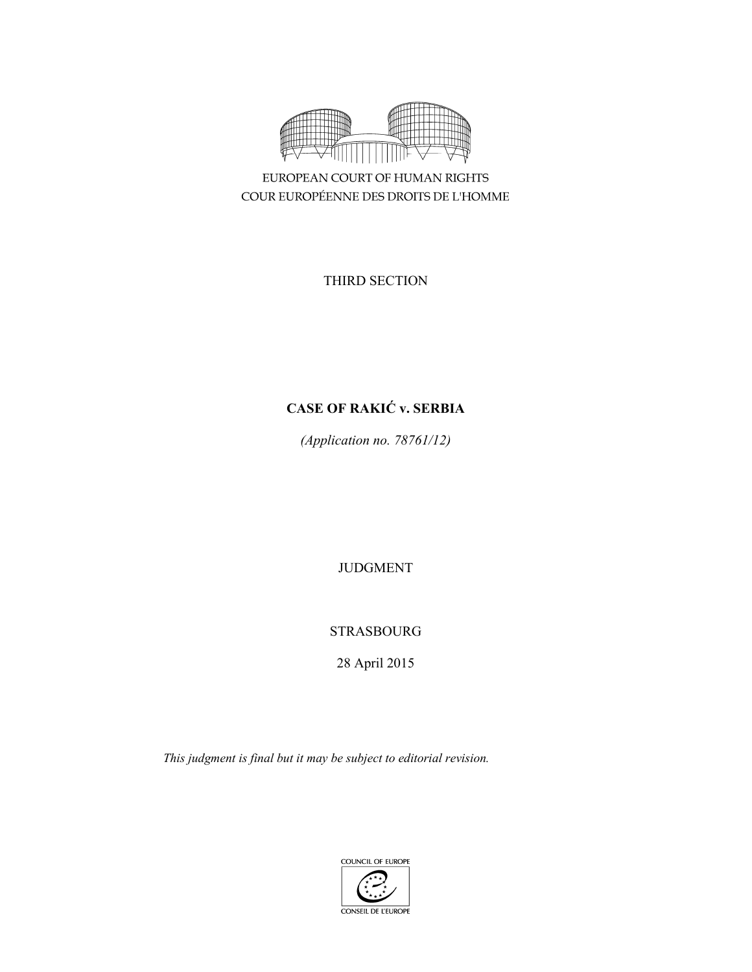

EUROPEAN COURT OF HUMAN RIGHTS COUR EUROPÉENNE DES DROITS DE L'HOMME

THIRD SECTION

# **CASE OF RAKIĆ v. SERBIA**

*(Application no. 78761/12)* 

JUDGMENT

STRASBOURG

28 April 2015

*This judgment is final but it may be subject to editorial revision.* 

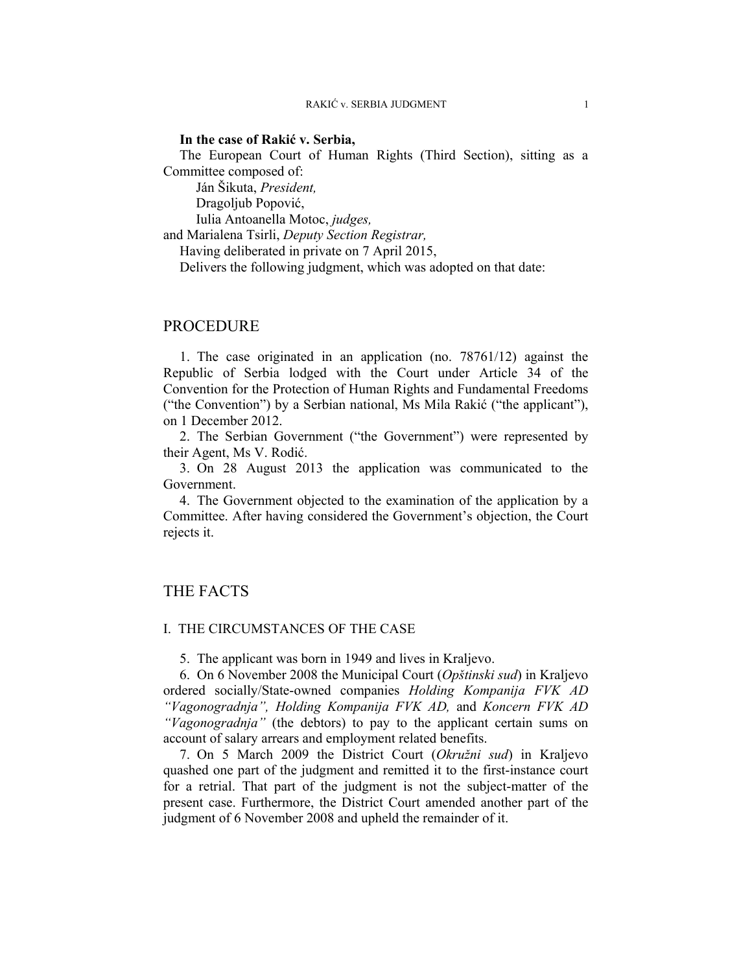# **In the case of Rakić v. Serbia,**

The European Court of Human Rights (Third Section), sitting as a Committee composed of:

 Ján Šikuta, *President,*  Dragoljub Popović, Iulia Antoanella Motoc, *judges,*

and Marialena Tsirli, *Deputy Section Registrar,*

Having deliberated in private on 7 April 2015,

Delivers the following judgment, which was adopted on that date:

# PROCEDURE

1. The case originated in an application (no. 78761/12) against the Republic of Serbia lodged with the Court under Article 34 of the Convention for the Protection of Human Rights and Fundamental Freedoms ("the Convention") by a Serbian national, Ms Mila Rakić ("the applicant"), on 1 December 2012.

2. The Serbian Government ("the Government") were represented by their Agent, Ms V. Rodić.

3. On 28 August 2013 the application was communicated to the Government.

4. The Government objected to the examination of the application by a Committee. After having considered the Government's objection, the Court rejects it.

# THE FACTS

### I. THE CIRCUMSTANCES OF THE CASE

5. The applicant was born in 1949 and lives in Kraljevo.

6. On 6 November 2008 the Municipal Court (*Opštinski sud*) in Kraljevo ordered socially/State-owned companies *Holding Kompanija FVK AD "Vagonogradnja", Holding Kompanija FVK AD,* and *Koncern FVK AD "Vagonogradnja"* (the debtors) to pay to the applicant certain sums on account of salary arrears and employment related benefits.

7. On 5 March 2009 the District Court (*Okružni sud*) in Kraljevo quashed one part of the judgment and remitted it to the first-instance court for a retrial. That part of the judgment is not the subject-matter of the present case. Furthermore, the District Court amended another part of the judgment of 6 November 2008 and upheld the remainder of it.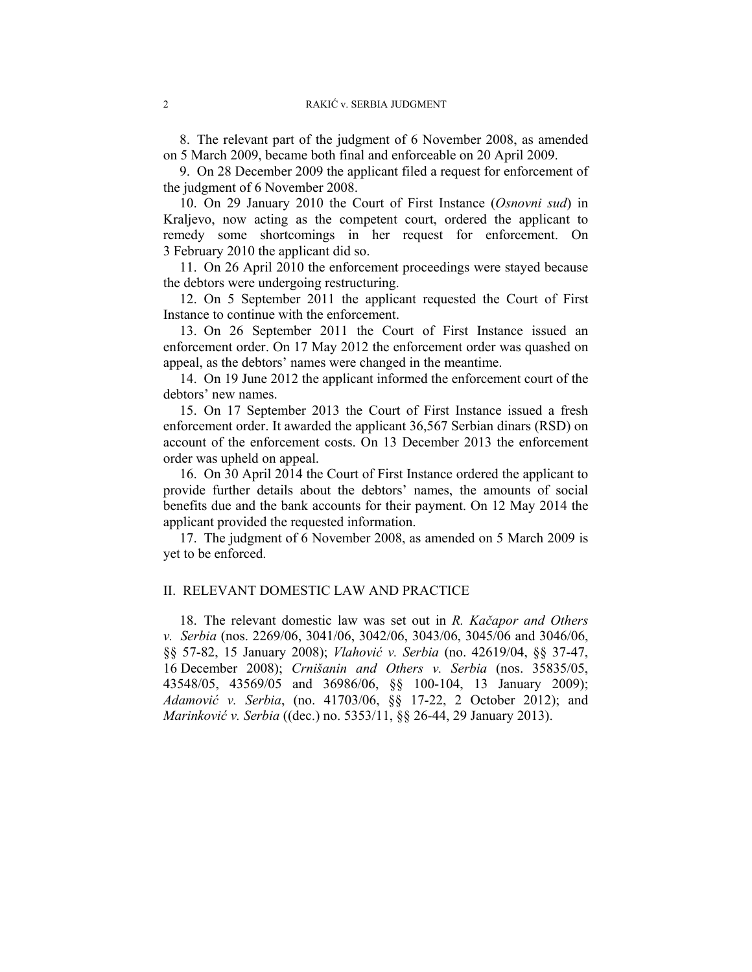8. The relevant part of the judgment of 6 November 2008, as amended on 5 March 2009, became both final and enforceable on 20 April 2009.

9. On 28 December 2009 the applicant filed a request for enforcement of the judgment of 6 November 2008.

10. On 29 January 2010 the Court of First Instance (*Osnovni sud*) in Kraljevo, now acting as the competent court, ordered the applicant to remedy some shortcomings in her request for enforcement. On 3 February 2010 the applicant did so.

11. On 26 April 2010 the enforcement proceedings were stayed because the debtors were undergoing restructuring.

12. On 5 September 2011 the applicant requested the Court of First Instance to continue with the enforcement.

13. On 26 September 2011 the Court of First Instance issued an enforcement order. On 17 May 2012 the enforcement order was quashed on appeal, as the debtors' names were changed in the meantime.

14. On 19 June 2012 the applicant informed the enforcement court of the debtors' new names.

15. On 17 September 2013 the Court of First Instance issued a fresh enforcement order. It awarded the applicant 36,567 Serbian dinars (RSD) on account of the enforcement costs. On 13 December 2013 the enforcement order was upheld on appeal.

16. On 30 April 2014 the Court of First Instance ordered the applicant to provide further details about the debtors' names, the amounts of social benefits due and the bank accounts for their payment. On 12 May 2014 the applicant provided the requested information.

17. The judgment of 6 November 2008, as amended on 5 March 2009 is yet to be enforced.

# II. RELEVANT DOMESTIC LAW AND PRACTICE

18. The relevant domestic law was set out in *R. Kačapor and Others v. Serbia* (nos. 2269/06, 3041/06, 3042/06, 3043/06, 3045/06 and 3046/06, §§ 57-82, 15 January 2008); *Vlahović v. Serbia* (no. 42619/04, §§ 37-47, 16 December 2008); *Crnišanin and Others v. Serbia* (nos. 35835/05, 43548/05, 43569/05 and 36986/06, §§ 100-104, 13 January 2009); *Adamović v. Serbia*, (no. 41703/06, §§ 17-22, 2 October 2012); and *Marinković v. Serbia* ((dec.) no. 5353/11, §§ 26-44, 29 January 2013).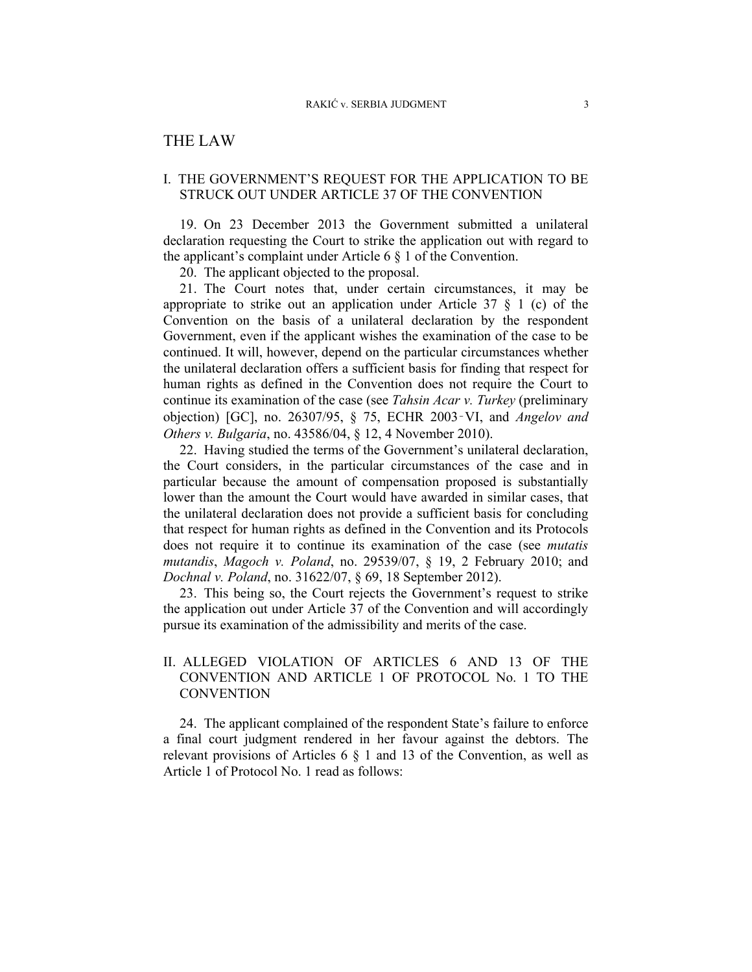# THE LAW

# I. THE GOVERNMENT'S REQUEST FOR THE APPLICATION TO BE STRUCK OUT UNDER ARTICLE 37 OF THE CONVENTION

19. On 23 December 2013 the Government submitted a unilateral declaration requesting the Court to strike the application out with regard to the applicant's complaint under Article 6 § 1 of the Convention.

20. The applicant objected to the proposal.

21. The Court notes that, under certain circumstances, it may be appropriate to strike out an application under Article  $37 \tS 1$  (c) of the Convention on the basis of a unilateral declaration by the respondent Government, even if the applicant wishes the examination of the case to be continued. It will, however, depend on the particular circumstances whether the unilateral declaration offers a sufficient basis for finding that respect for human rights as defined in the Convention does not require the Court to continue its examination of the case (see *Tahsin Acar v. Turkey* (preliminary objection) [GC], no. 26307/95, § 75, ECHR 2003‑VI, and *Angelov and Others v. Bulgaria*, no. 43586/04, § 12, 4 November 2010).

22. Having studied the terms of the Government's unilateral declaration, the Court considers, in the particular circumstances of the case and in particular because the amount of compensation proposed is substantially lower than the amount the Court would have awarded in similar cases, that the unilateral declaration does not provide a sufficient basis for concluding that respect for human rights as defined in the Convention and its Protocols does not require it to continue its examination of the case (see *mutatis mutandis*, *Magoch v. Poland*, no. 29539/07, § 19, 2 February 2010; and *Dochnal v. Poland*, no. 31622/07, § 69, 18 September 2012).

23. This being so, the Court rejects the Government's request to strike the application out under Article 37 of the Convention and will accordingly pursue its examination of the admissibility and merits of the case.

# II. ALLEGED VIOLATION OF ARTICLES 6 AND 13 OF THE CONVENTION AND ARTICLE 1 OF PROTOCOL No. 1 TO THE **CONVENTION**

24. The applicant complained of the respondent State's failure to enforce a final court judgment rendered in her favour against the debtors. The relevant provisions of Articles 6 § 1 and 13 of the Convention, as well as Article 1 of Protocol No. 1 read as follows: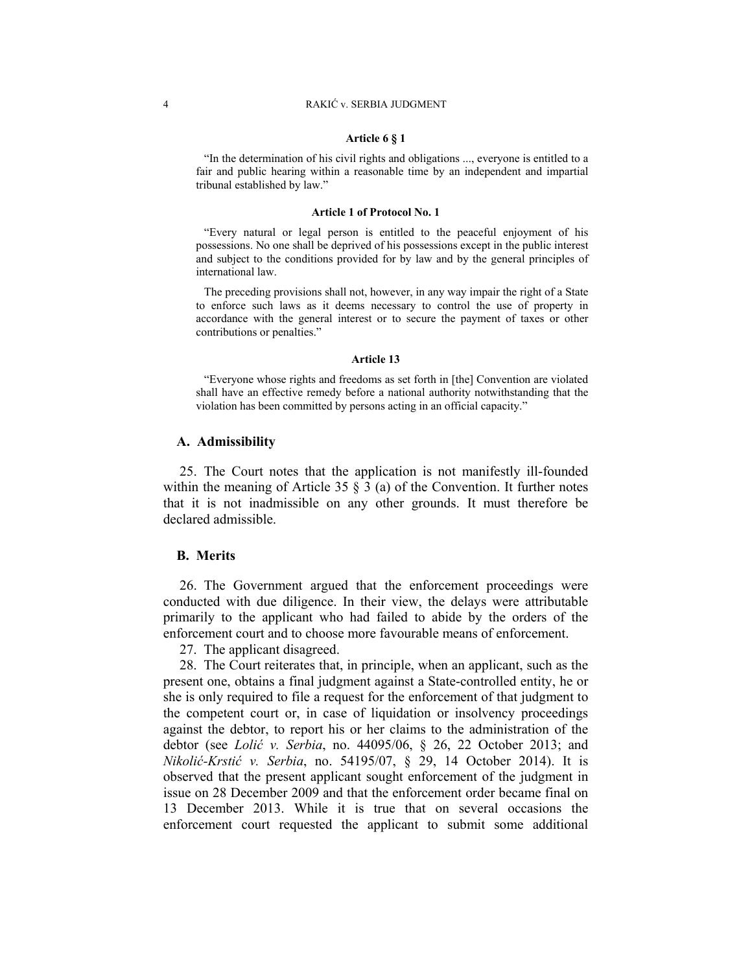### **Article 6 § 1**

"In the determination of his civil rights and obligations ..., everyone is entitled to a fair and public hearing within a reasonable time by an independent and impartial tribunal established by law."

#### **Article 1 of Protocol No. 1**

"Every natural or legal person is entitled to the peaceful enjoyment of his possessions. No one shall be deprived of his possessions except in the public interest and subject to the conditions provided for by law and by the general principles of international law.

The preceding provisions shall not, however, in any way impair the right of a State to enforce such laws as it deems necessary to control the use of property in accordance with the general interest or to secure the payment of taxes or other contributions or penalties."

#### **Article 13**

"Everyone whose rights and freedoms as set forth in [the] Convention are violated shall have an effective remedy before a national authority notwithstanding that the violation has been committed by persons acting in an official capacity."

### **A. Admissibility**

25. The Court notes that the application is not manifestly ill-founded within the meaning of Article 35  $\S$  3 (a) of the Convention. It further notes that it is not inadmissible on any other grounds. It must therefore be declared admissible.

### **B. Merits**

26. The Government argued that the enforcement proceedings were conducted with due diligence. In their view, the delays were attributable primarily to the applicant who had failed to abide by the orders of the enforcement court and to choose more favourable means of enforcement.

27. The applicant disagreed.

28. The Court reiterates that, in principle, when an applicant, such as the present one, obtains a final judgment against a State-controlled entity, he or she is only required to file a request for the enforcement of that judgment to the competent court or, in case of liquidation or insolvency proceedings against the debtor, to report his or her claims to the administration of the debtor (see *Lolić v. Serbia*, no. 44095/06, § 26, 22 October 2013; and *Nikolić-Krstić v. Serbia*, no. 54195/07, § 29, 14 October 2014). It is observed that the present applicant sought enforcement of the judgment in issue on 28 December 2009 and that the enforcement order became final on 13 December 2013. While it is true that on several occasions the enforcement court requested the applicant to submit some additional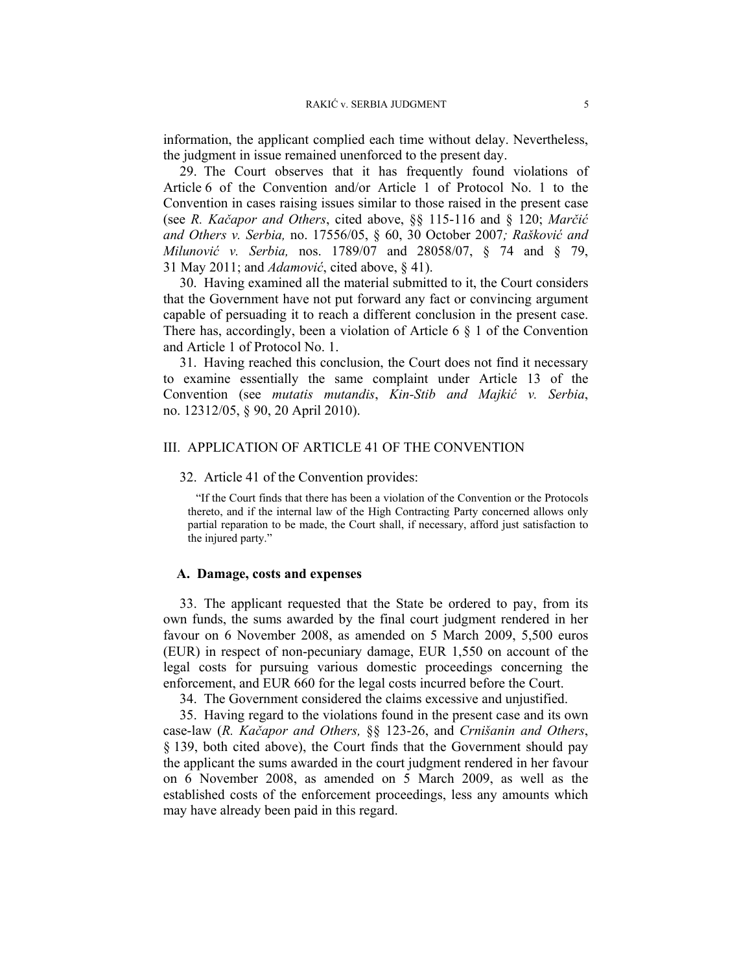information, the applicant complied each time without delay. Nevertheless, the judgment in issue remained unenforced to the present day.

29. The Court observes that it has frequently found violations of Article 6 of the Convention and/or Article 1 of Protocol No. 1 to the Convention in cases raising issues similar to those raised in the present case (see *R. Kačapor and Others*, cited above, §§ 115-116 and § 120; *Marčić and Others v. Serbia,* no. 17556/05, § 60, 30 October 2007*; Rašković and Milunović v. Serbia,* nos. 1789/07 and 28058/07, § 74 and § 79, 31 May 2011; and *Adamović*, cited above, § 41).

30. Having examined all the material submitted to it, the Court considers that the Government have not put forward any fact or convincing argument capable of persuading it to reach a different conclusion in the present case. There has, accordingly, been a violation of Article 6 § 1 of the Convention and Article 1 of Protocol No. 1.

31. Having reached this conclusion, the Court does not find it necessary to examine essentially the same complaint under Article 13 of the Convention (see *mutatis mutandis*, *Kin-Stib and Majkić v. Serbia*, no. 12312/05, § 90, 20 April 2010).

### III. APPLICATION OF ARTICLE 41 OF THE CONVENTION

### 32. Article 41 of the Convention provides:

"If the Court finds that there has been a violation of the Convention or the Protocols thereto, and if the internal law of the High Contracting Party concerned allows only partial reparation to be made, the Court shall, if necessary, afford just satisfaction to the injured party."

# **A. Damage, costs and expenses**

33. The applicant requested that the State be ordered to pay, from its own funds, the sums awarded by the final court judgment rendered in her favour on 6 November 2008, as amended on 5 March 2009, 5,500 euros (EUR) in respect of non-pecuniary damage, EUR 1,550 on account of the legal costs for pursuing various domestic proceedings concerning the enforcement, and EUR 660 for the legal costs incurred before the Court.

34. The Government considered the claims excessive and unjustified.

35. Having regard to the violations found in the present case and its own case-law (*R. Kačapor and Others,* §§ 123-26, and *Crnišanin and Others*, § 139, both cited above), the Court finds that the Government should pay the applicant the sums awarded in the court judgment rendered in her favour on 6 November 2008, as amended on 5 March 2009, as well as the established costs of the enforcement proceedings, less any amounts which may have already been paid in this regard.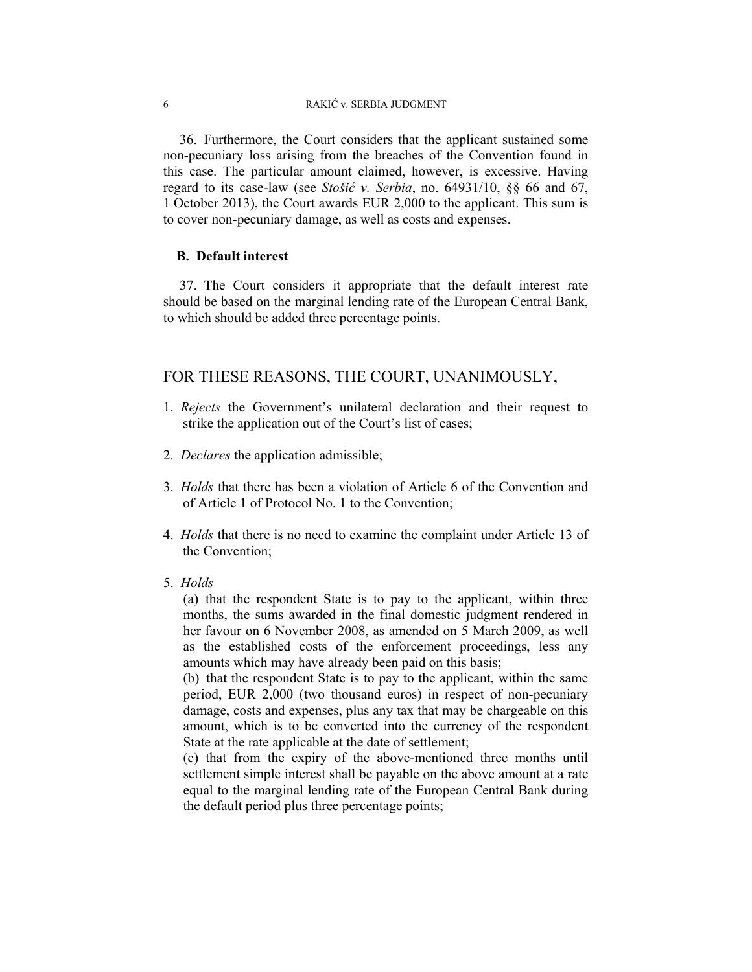36. Furthermore, the Court considers that the applicant sustained some non-pecuniary loss arising from the breaches of the Convention found in this case. The particular amount claimed, however, is excessive. Having regard to its case-law (see *Stošić v. Serbia*, no. 64931/10, §§ 66 and 67, 1 October 2013), the Court awards EUR 2,000 to the applicant. This sum is to cover non-pecuniary damage, as well as costs and expenses.

# **B. Default interest**

37. The Court considers it appropriate that the default interest rate should be based on the marginal lending rate of the European Central Bank, to which should be added three percentage points.

# FOR THESE REASONS, THE COURT, UNANIMOUSLY,

- 1. *Rejects* the Government's unilateral declaration and their request to strike the application out of the Court's list of cases;
- 2. *Declares* the application admissible;
- 3. *Holds* that there has been a violation of Article 6 of the Convention and of Article 1 of Protocol No. 1 to the Convention;
- 4. *Holds* that there is no need to examine the complaint under Article 13 of the Convention;
- 5. *Holds*

(a) that the respondent State is to pay to the applicant, within three months, the sums awarded in the final domestic judgment rendered in her favour on 6 November 2008, as amended on 5 March 2009, as well as the established costs of the enforcement proceedings, less any amounts which may have already been paid on this basis;

(b) that the respondent State is to pay to the applicant, within the same period, EUR 2,000 (two thousand euros) in respect of non-pecuniary damage, costs and expenses, plus any tax that may be chargeable on this amount, which is to be converted into the currency of the respondent State at the rate applicable at the date of settlement;

(c) that from the expiry of the above-mentioned three months until settlement simple interest shall be payable on the above amount at a rate equal to the marginal lending rate of the European Central Bank during the default period plus three percentage points;